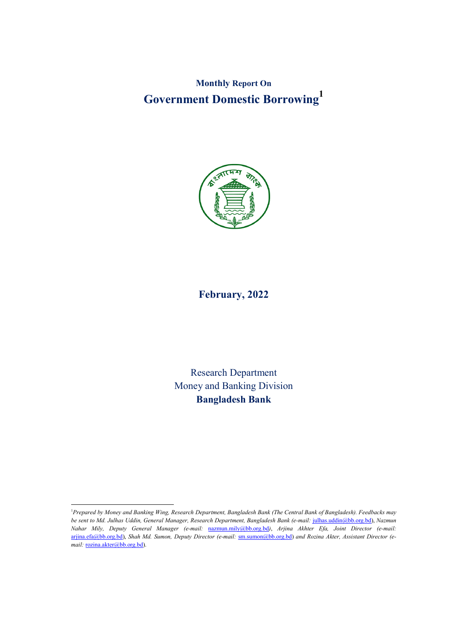**Monthly Report On Government Domestic Borrowing1**



# **February, 2022**

Research Department Money and Banking Division **Bangladesh Bank**

 $\frac{1}{1}$ *Prepared by Money and Banking Wing, Research Department, Bangladesh Bank (The Central Bank of Bangladesh). Feedbacks may be sent to Md. Julhas Uddin, General Manager, Research Department, Bangladesh Bank (e-mail:* julhas.uddin@bb.org.bd), *Nazmun Nahar Mily, Deputy General Manager (e-mail:* nazmun.mily@bb.org.bd*)*, *Arjina Akhter Efa, Joint Director (e-mail:* arjina.efa@bb.org.bd), *Shah Md. Sumon, Deputy Director (e-mail:* sm.sumon@bb.org.bd) *and Rozina Akter, Assistant Director (e*mail: rozina.akter@bb.org.bd).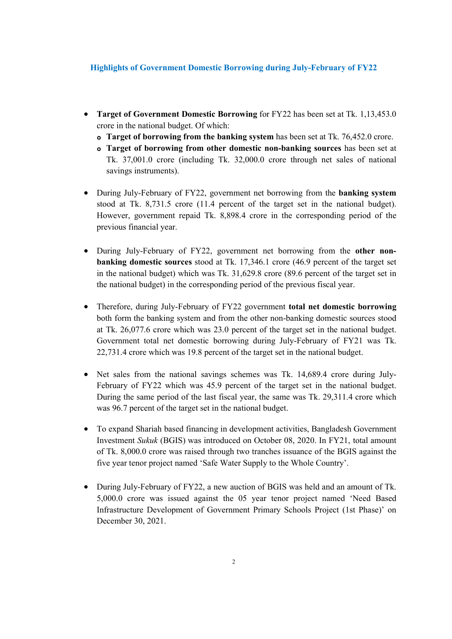### **Highlights of Government Domestic Borrowing during July-February of FY22**

- **Target of Government Domestic Borrowing** for FY22 has been set at Tk. 1,13,453.0 crore in the national budget. Of which:
	- **o** Target of borrowing from the banking system has been set at Tk. 76,452.0 crore.
	- **Target of borrowing from other domestic non-banking sources** has been set at Tk. 37,001.0 crore (including Tk. 32,000.0 crore through net sales of national savings instruments).
- During July-February of FY22, government net borrowing from the **banking system**  stood at Tk. 8,731.5 crore (11.4 percent of the target set in the national budget). However, government repaid Tk. 8,898.4 crore in the corresponding period of the previous financial year.
- During July-February of FY22, government net borrowing from the **other nonbanking domestic sources** stood at Tk. 17,346.1 crore (46.9 percent of the target set in the national budget) which was Tk. 31,629.8 crore (89.6 percent of the target set in the national budget) in the corresponding period of the previous fiscal year.
- Therefore, during July-February of FY22 government **total net domestic borrowing** both form the banking system and from the other non-banking domestic sources stood at Tk. 26,077.6 crore which was 23.0 percent of the target set in the national budget. Government total net domestic borrowing during July-February of FY21 was Tk. 22,731.4 crore which was 19.8 percent of the target set in the national budget.
- Net sales from the national savings schemes was Tk. 14,689.4 crore during July-February of FY22 which was 45.9 percent of the target set in the national budget. During the same period of the last fiscal year, the same was Tk. 29,311.4 crore which was 96.7 percent of the target set in the national budget.
- To expand Shariah based financing in development activities, Bangladesh Government Investment *Sukuk* (BGIS) was introduced on October 08, 2020. In FY21, total amount of Tk. 8,000.0 crore was raised through two tranches issuance of the BGIS against the five year tenor project named 'Safe Water Supply to the Whole Country'.
- During July-February of FY22, a new auction of BGIS was held and an amount of Tk. 5,000.0 crore was issued against the 05 year tenor project named 'Need Based Infrastructure Development of Government Primary Schools Project (1st Phase)' on December 30, 2021.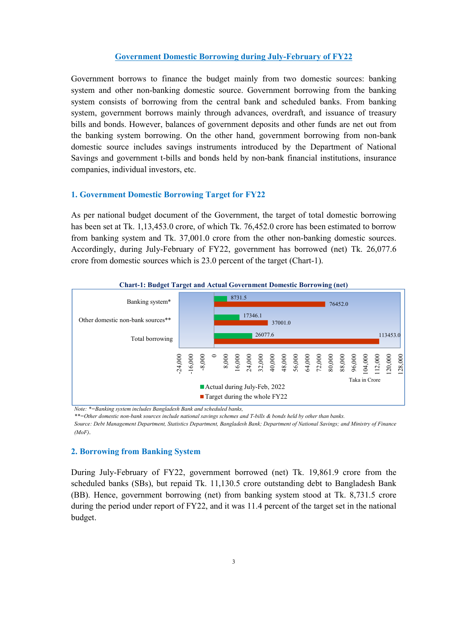## **Government Domestic Borrowing during July-February of FY22**

Government borrows to finance the budget mainly from two domestic sources: banking system and other non-banking domestic source. Government borrowing from the banking system consists of borrowing from the central bank and scheduled banks. From banking system, government borrows mainly through advances, overdraft, and issuance of treasury bills and bonds. However, balances of government deposits and other funds are net out from the banking system borrowing. On the other hand, government borrowing from non-bank domestic source includes savings instruments introduced by the Department of National Savings and government t-bills and bonds held by non-bank financial institutions, insurance companies, individual investors, etc.

# **1. Government Domestic Borrowing Target for FY22**

As per national budget document of the Government, the target of total domestic borrowing has been set at Tk. 1,13,453.0 crore, of which Tk. 76,452.0 crore has been estimated to borrow from banking system and Tk. 37,001.0 crore from the other non-banking domestic sources. Accordingly, during July-February of FY22, government has borrowed (net) Tk. 26,077.6 crore from domestic sources which is 23.0 percent of the target (Chart-1).



*Note: \*=Banking system includes Bangladesh Bank and scheduled banks,* 

*\*\*=Other domestic non-bank sources include national savings schemes and T-bills & bonds held by other than banks.* 

*Source: Debt Management Department, Statistics Department, Bangladesh Bank; Department of National Savings; and Ministry of Finance (MoF)*.

### **2. Borrowing from Banking System**

During July-February of FY22, government borrowed (net) Tk. 19,861.9 crore from the scheduled banks (SBs), but repaid Tk. 11,130.5 crore outstanding debt to Bangladesh Bank (BB). Hence, government borrowing (net) from banking system stood at Tk. 8,731.5 crore during the period under report of FY22, and it was 11.4 percent of the target set in the national budget.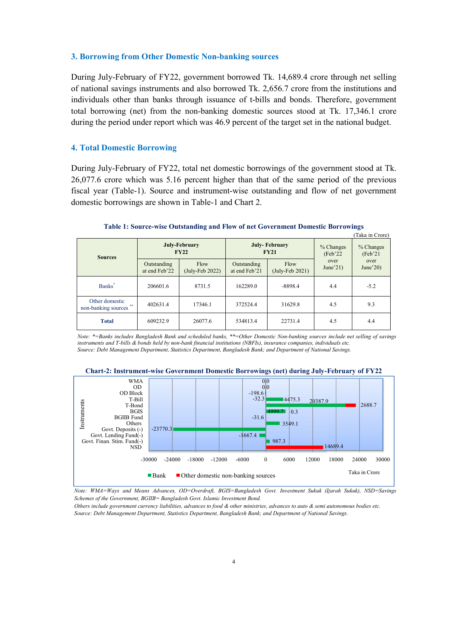#### **3. Borrowing from Other Domestic N Non-banking sources**

During July-February of FY22, government borrowed Tk. 14,689.4 crore through net selling of national savings instruments and also borrowed Tk. 2,656.7 crore from the institutions and individuals other than banks through issuance of t-bills and bonds. Therefore, government total borrowing (net) from the non-banking domestic sources stood at Tk. 17,346.1 crore during the period under report which was 46.9 percent of the target set in the national budget.

# **4. Total Domestic Borrowing**

During July-February of FY22, total net domestic borrowings of the government stood at Tk. 26,077.6 crore which was 5.16 percent higher than that of the same period of the previous fiscal year (Table-1). Source and instrument-wise outstanding and flow of net government domestic borrowings are shown in Table-1 and Chart 2.

| (Taka in Crore)                             |                              |                              |                              |                                     |                       |                                              |  |  |  |
|---------------------------------------------|------------------------------|------------------------------|------------------------------|-------------------------------------|-----------------------|----------------------------------------------|--|--|--|
| <b>Sources</b>                              |                              | <b>July-February</b><br>FY22 |                              | <b>July-February</b><br><b>FY21</b> | % Changes<br>(Feb'22) | % Changes<br>(Feb'21)<br>over<br>June $20$ ) |  |  |  |
|                                             | Outstanding<br>at end Feb'22 | Flow<br>$(July-Feb 2022)$    | Outstanding<br>at end Feb'21 | Flow<br>$(\text{July-Feb } 2021)$   | over<br>June $21$ )   |                                              |  |  |  |
| Banks <sup>*</sup>                          | 206601.6                     | 8731.5                       | 162289.0                     | $-8898.4$                           | 4.4                   | $-5.2$                                       |  |  |  |
| Other domestic<br>**<br>non-banking sources | 402631.4                     | 17346.1                      | 372524.4                     | 31629.8                             | 4.5                   | 9.3                                          |  |  |  |
| <b>Total</b>                                | 609232.9                     | 26077.6                      | 534813.4                     | 22731.4                             | 4.5                   | 4.4                                          |  |  |  |

#### **Table 1: Source-wise Outstanding and Flow of net Government Domestic omestic Borrowings**

*Note: \*=Banks includes Bangladesh Bank and Bangladesh scheduled banks, \*\*=Other Domestic Non-banking sources include net selling ing of savings* instruments and T-bills & bonds held by non-bank financial institutions (NBFIs), insurance companies, individuals etc. *Source: Debt Management Department, Statistics Department, Bangladesh Bank; Department, Bangladesh and Department of National Savings of National Savings.*





*Note: WMA=Ways and Means Advances, OD=Overdraft, and BGIS=Bangladesh Govt. Investment Sukuk (Ijarah Sukuk) Sukuk), NSD=Savings Schemes of the Government, BGIIB= Bangladesh Govt. Islamic Investment Bond.*  Schemes of the Government, BGIIB= Bangladesh Govt. Islamic Investment Bond.<br>Others include government currency liabilities, advances to food & other ministries, advances to auto & semi autonomous bodies etc.

*Source: Debt Management Department, Statistics Department, Bangladesh Bank; and Department of National Savings emi autonomous rtment Savings.*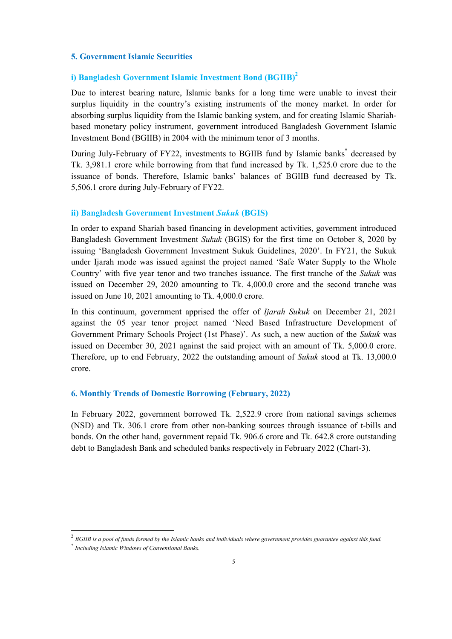### **5. Government Islamic Securities**

# **i) Bangladesh Government Islamic Investment Bond (BGIIB) 2**

Due to interest bearing nature, Islamic banks for a long time were unable to invest their surplus liquidity in the country's existing instruments of the money market. In order for absorbing surplus liquidity from the Islamic banking system, and for creating Islamic Shariahbased monetary policy instrument, government introduced Bangladesh Government Islamic Investment Bond (BGIIB) in 2004 with the minimum tenor of 3 months.

During July-February of FY22, investments to BGIIB fund by Islamic banks**\*** decreased by Tk. 3,981.1 crore while borrowing from that fund increased by Tk. 1,525.0 crore due to the issuance of bonds. Therefore, Islamic banks' balances of BGIIB fund decreased by Tk. 5,506.1 crore during July-February of FY22.

#### **ii) Bangladesh Government Investment** *Sukuk* **(BGIS)**

In order to expand Shariah based financing in development activities, government introduced Bangladesh Government Investment *Sukuk* (BGIS) for the first time on October 8, 2020 by issuing 'Bangladesh Government Investment Sukuk Guidelines, 2020'. In FY21, the Sukuk under Ijarah mode was issued against the project named 'Safe Water Supply to the Whole Country' with five year tenor and two tranches issuance. The first tranche of the *Sukuk* was issued on December 29, 2020 amounting to Tk. 4,000.0 crore and the second tranche was issued on June 10, 2021 amounting to Tk. 4,000.0 crore.

In this continuum, government apprised the offer of *Ijarah Sukuk* on December 21, 2021 against the 05 year tenor project named 'Need Based Infrastructure Development of Government Primary Schools Project (1st Phase)'. As such, a new auction of the *Sukuk* was issued on December 30, 2021 against the said project with an amount of Tk. 5,000.0 crore. Therefore, up to end February, 2022 the outstanding amount of *Sukuk* stood at Tk. 13,000.0 crore.

#### **6. Monthly Trends of Domestic Borrowing (February, 2022)**

In February 2022, government borrowed Tk. 2,522.9 crore from national savings schemes (NSD) and Tk. 306.1 crore from other non-banking sources through issuance of t-bills and bonds. On the other hand, government repaid Tk. 906.6 crore and Tk. 642.8 crore outstanding debt to Bangladesh Bank and scheduled banks respectively in February 2022 (Chart-3).

 <sup>2</sup> *BGIIB is a pool of funds formed by the Islamic banks and individuals where government provides guarantee against this fund.*

<sup>\*</sup> *Including Islamic Windows of Conventional Banks.*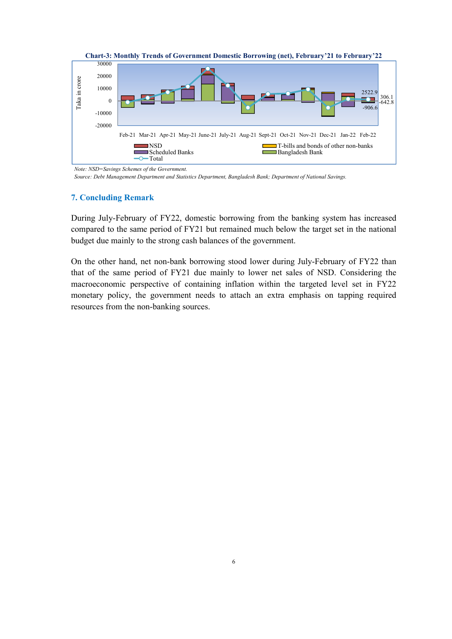

*Note: NSD=Savings Schemes of the Government.*

*Source: Debt Management Department and Statistics Department, Bangladesh Bank; Department of National Savings.*

#### **7. Concluding Remark**

During July-February of FY22, domestic borrowing from the banking system has increased compared to the same period of FY21 but remained much below the target set in the national budget due mainly to the strong cash balances of the government.

On the other hand, net non-bank borrowing stood lower during July-February of FY22 than that of the same period of FY21 due mainly to lower net sales of NSD. Considering the macroeconomic perspective of containing inflation within the targeted level set in FY22 monetary policy, the government needs to attach an extra emphasis on tapping required resources from the non-banking sources.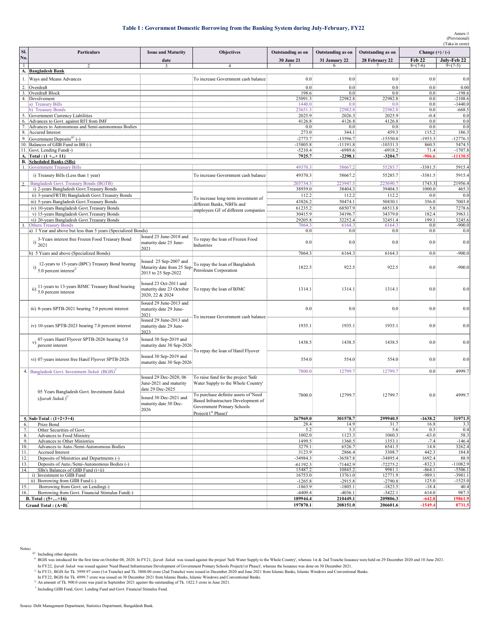#### **Table I : Government Domestic Borrowing from the Banking System during July-February, FY22**

|              |                                                                                                 |                                                                                                                                 |                                                                                                                                                                                                                           |                         |                         | (Taka in crore)         |                      |                        |
|--------------|-------------------------------------------------------------------------------------------------|---------------------------------------------------------------------------------------------------------------------------------|---------------------------------------------------------------------------------------------------------------------------------------------------------------------------------------------------------------------------|-------------------------|-------------------------|-------------------------|----------------------|------------------------|
| SI.          | Particulars<br><b>Issue and Maturity</b>                                                        |                                                                                                                                 | Objectives                                                                                                                                                                                                                | Outstanding as on       | Outstanding as on       | Outstanding as on       | Change $(+)/(-)$     |                        |
| No.          |                                                                                                 | date                                                                                                                            |                                                                                                                                                                                                                           | 30 June 21              | 31 January 22           | 28 February 22          | Feb 22               | July-Feb 22            |
| $\mathbf{1}$ |                                                                                                 |                                                                                                                                 |                                                                                                                                                                                                                           | 5                       | 6                       |                         | $8=(7-6)$            | $9=(7-5)$              |
|              | A. Bangladesh Bank                                                                              |                                                                                                                                 |                                                                                                                                                                                                                           |                         |                         |                         |                      |                        |
| 1.           | Ways and Means Advances                                                                         |                                                                                                                                 | To increase Government cash balance                                                                                                                                                                                       | 0.0                     | 0.0                     | 0.0                     | 0.0                  | 0.0                    |
|              | 2. Overdraft                                                                                    |                                                                                                                                 |                                                                                                                                                                                                                           | 0.0                     | 0.0                     | 0.0                     | 0.0                  | 0.00                   |
|              | 3. Overdraft Block                                                                              |                                                                                                                                 |                                                                                                                                                                                                                           | 198.6                   | 0.0                     | 0.0                     | 0.0                  | $-198.6$               |
|              | 4. Devolvement                                                                                  |                                                                                                                                 |                                                                                                                                                                                                                           | 25091.3                 | 22982.8                 | 22982.8                 | 0.0                  | $-2108.6$              |
|              | a) Treasury Bills<br>b) Treasury Bonds                                                          |                                                                                                                                 |                                                                                                                                                                                                                           | 1440.0<br>23651.3       | 0.0<br>22982.8          | 0.0<br>22982.8          | 0.0<br>0.0           | $-1440.0$<br>$-668.5$  |
| 5.           | Government Currency Liabilities                                                                 |                                                                                                                                 |                                                                                                                                                                                                                           | 2025.9                  | 2026.3                  | 2025.9                  | $-0.4$               | 0.0                    |
| 6.           | Advances to Govt. against RFI from IMF                                                          |                                                                                                                                 |                                                                                                                                                                                                                           | 4126.8                  | 4126.8                  | 4126.8                  | 0.0                  | 0.0                    |
| 7.           | Advances to Autonomous and Semi-autonomous Bodies                                               |                                                                                                                                 |                                                                                                                                                                                                                           | 0.0                     | 0.0                     | 0.0                     | 0.0                  | 0.0                    |
| 8.           | Accured Interest                                                                                |                                                                                                                                 |                                                                                                                                                                                                                           | 273.0                   | 344.1                   | 459.3                   | 115.2                | 186.3                  |
| 9.           | Government Deposits <sup>@/</sup> (-)                                                           |                                                                                                                                 |                                                                                                                                                                                                                           | $-2773.7$               | $-13596.7$              | $-15550.0$              | $-1953.3$            | $-12776.3$             |
|              | 10. Balances of GIIB Fund in BB (-)<br>11. Govt. Lending Fund(-)                                |                                                                                                                                 |                                                                                                                                                                                                                           | $-15805.8$<br>$-5210.4$ | $-11191.8$<br>$-6989.6$ | $-10331.3$<br>$-6918.2$ | 860.5<br>71.4        | 5474.5<br>$-1707.8$    |
|              | A. $\text{Total}: (1 +  + 11)$                                                                  |                                                                                                                                 |                                                                                                                                                                                                                           | 7925.7                  | $-2298.1$               | $-3204.7$               | $-906.6$             | $-11130.5$             |
|              | <b>B.</b> Scheduled Banks (SBs)                                                                 |                                                                                                                                 |                                                                                                                                                                                                                           |                         |                         |                         |                      |                        |
|              | <b>Government Treasury Bills</b>                                                                |                                                                                                                                 |                                                                                                                                                                                                                           | 49370.3                 | 58667.2                 | 55285.7                 | $-3381.5$            | 5915.4                 |
|              | i) Treasury Bills (Less than 1 year)                                                            |                                                                                                                                 | To increase Government cash balance                                                                                                                                                                                       | 49370.3                 | 58667.2                 | 55285.7                 | $-3381.5$            | 5915.4                 |
|              | <b>Bangladesh Govt. Treasury Bonds (BGTB)</b>                                                   |                                                                                                                                 |                                                                                                                                                                                                                           | 203734.3                | 223947.5                | 225690.7                | 1743.3               | 21956.4                |
|              | i) 2-years Bangladesh Govt. Treasury Bonds                                                      |                                                                                                                                 |                                                                                                                                                                                                                           | 38939.0                 | 38404.3                 | 39404.3                 | 1000.0               | 465.3                  |
|              | ii) 3-years(FRTB) Bangladesh Govt.Treasury Bonds                                                |                                                                                                                                 |                                                                                                                                                                                                                           | 112.2                   | 112.2                   | 112.2                   | 0.0                  | 0.0                    |
|              | iii) 5-years Bangladesh Govt. Treasury Bonds                                                    |                                                                                                                                 | To increase long-term investment of<br>different Banks, NBFIs and                                                                                                                                                         | 43826.2                 | 50474.1                 | 50830.1                 | 356.0                | 7003.8                 |
|              | iv) 10-years Bangladesh Govt. Treasury Bonds                                                    |                                                                                                                                 | employees GF of different companies                                                                                                                                                                                       | 61235.2                 | 68507.9                 | 68513.8                 | 5.8                  | 7278.6                 |
|              | v) 15-years Bangladesh Govt. Treasury Bonds                                                     |                                                                                                                                 |                                                                                                                                                                                                                           | 30415.9                 | 34196.7                 | 34379.0                 | 182.4                | 3963.1                 |
|              | vi) 20-years Bangladesh Govt. Treasury Bonds                                                    |                                                                                                                                 |                                                                                                                                                                                                                           | 29205.8                 | 32252.4                 | 32451.4                 | 199.1                | 3245.6                 |
|              | <b>Others Treasury Bonds</b><br>a) 1 Year and above but less than 5 years (Specialized Bonds)   |                                                                                                                                 |                                                                                                                                                                                                                           | 7064.3<br>0.0           | 6164.3<br>0.0           | 6164.3<br>0.0           | 0.0<br>0.0           | $-900.0$               |
|              |                                                                                                 | Issued 25 June-2018 and                                                                                                         |                                                                                                                                                                                                                           |                         |                         |                         |                      | 0.0                    |
|              | 3-Years interest free Frozen Food Treasury Bond<br>$i)$ 2021                                    | maturity date 25 June-                                                                                                          | To repay the loan of Frozen Food                                                                                                                                                                                          | 0.0                     | 0.0                     | 0.0                     | $0.0\,$              | 0.0                    |
|              |                                                                                                 | 2021                                                                                                                            | Industries                                                                                                                                                                                                                |                         |                         |                         |                      |                        |
|              | b) 5 Years and above (Specialized Bonds)                                                        |                                                                                                                                 |                                                                                                                                                                                                                           | 7064.3                  | 6164.3                  | 6164.3                  | 0.0                  | $-900.0$               |
|              | 12-years to 15-years (BPC) Treasury Bond bearing<br>$^{(1)}$ 5.0 percent interest <sup>2/</sup> | Issued 25 Sep-2007 and<br>Maturity date from 25 Sep<br>2015 to 25 Sep-2022                                                      | To repay the loan of Bangladesh<br>Petroleum Corporation                                                                                                                                                                  | 1822.5                  | 922.5                   | 922.5                   | 0.0                  | $-900.0$               |
|              | 11-years to 13-years BJMC Treasury Bond bearing<br>ii) $5.0$ percent interest                   | Issued 23 Oct-2011 and<br>maturity date 23 October<br>2020, 22 & 2024                                                           | To repay the loan of BJMC                                                                                                                                                                                                 | 1314.1                  | 1314.1                  | 1314.1                  | 0.0                  | 0.0                    |
|              | iii) 8-years SPTB-2021 bearing 7.0 percent interest                                             | Issued 29 June-2013 and<br>maturity date 29 June-<br>2021                                                                       |                                                                                                                                                                                                                           | 0.0                     | 0.0                     | 0.0                     | 0.0                  | 0.0                    |
|              | iv) 10-years SPTB-2023 bearing 7.0 percent interest                                             | Issued 29 June-2013 and<br>maturity date 29 June-<br>2023                                                                       | To increase Government cash balance                                                                                                                                                                                       | 1935.1                  | 1935.1                  | 1935.1                  | 0.0                  | 0.0                    |
|              | v) 07-years Hanif Flyover SPTB-2026 bearing 5.0<br>percent interest                             | Issued 30 Sep-2019 and<br>maturity date 30 Sep-2026                                                                             | To repay the loan of Hanif Flyover                                                                                                                                                                                        | 1438.5                  | 1438.5                  | 1438.5                  | 0.0                  | 0.0                    |
|              | vi) 07-years interest free Hanif Flyover SPTB-2026                                              | Issued 30 Sep-2019 and<br>maturity date 30 Sep-2026                                                                             |                                                                                                                                                                                                                           | 554.0                   | 554.0                   | 554.0                   | 0.0                  | 0.0                    |
|              | 4. Bangladesh Govt. Investment Sukuk (BGIS) <sup>#</sup>                                        |                                                                                                                                 |                                                                                                                                                                                                                           | 7800.0                  | 12799.7                 | 12799.7                 | 0.0                  | 4999.7                 |
|              | 05 Years Bangladesh Govt. Investment Sukuk<br>$(Ijarah Sukuk)^{1/2}$                            | Issued 29 Dec-2020, 06<br>June-2021 and maturity<br>date 29 Dec-2025<br>Issued 30 Dec-2021 and<br>maturity date 30 Dec-<br>2026 | To raise fund for the project 'Safe<br>Water Supply to the Whole Country'<br>To purchase definite assets of 'Need<br>Based Infrastructure Development of<br>Government Primary Schools<br>Project(1 <sup>st</sup> Phase)' | 7800.0                  | 12799.7                 | 12799.7                 | 0.0                  | 4999.7                 |
|              | 5. Sub-Total: $(1+2+3+4)$                                                                       |                                                                                                                                 |                                                                                                                                                                                                                           | 267969.0                | 301578.7                | 299940.5                | $-1638.2$            | 31971.5                |
| 6.           | Prize Bond                                                                                      |                                                                                                                                 |                                                                                                                                                                                                                           | 28.4                    | 14.9                    | 31.7                    | 16.8                 | 3.3                    |
| 7.<br>8.     | Other Securities of Govt.<br>Advances to Food Ministry                                          |                                                                                                                                 |                                                                                                                                                                                                                           | 5.2<br>1002.0           | 5.3<br>1123.3           | 5.6<br>1060.3           | 0.3<br>$-63.0$       | 0.4<br>58.3            |
| 9.           | Advances to Other Ministries                                                                    |                                                                                                                                 |                                                                                                                                                                                                                           | 1499.5                  | 1360.5                  | 1353.1                  | $-7.4$               | $-146.4$               |
| 10.          | Advances to Auto./Semi-Autonomous Bodies                                                        |                                                                                                                                 |                                                                                                                                                                                                                           | 3279.1                  | 6526.7                  | 6541.5                  | 14.8                 | 3262.4                 |
| 11.          | <b>Accrued Interest</b>                                                                         |                                                                                                                                 |                                                                                                                                                                                                                           | 3123.9                  | 2866.4                  | 3308.7                  | 442.3                | 184.8                  |
| 12.          | Deposits of Ministries and Departments (-)                                                      |                                                                                                                                 |                                                                                                                                                                                                                           | $-34984.3$              | $-36587.8$              | $-34895.4$              | 1692.4               | 88.9                   |
| 13.          | Deposits of Auto./Semi-Autonomous Bodies (-)                                                    |                                                                                                                                 |                                                                                                                                                                                                                           | $-61192.3$              | $-71442.9$              | $-72275.2$              | $-832.3$             | $-11082.9$             |
| 14.          | SBs's Balances of GIIB Fund (i+ii)                                                              |                                                                                                                                 |                                                                                                                                                                                                                           | 15487.2<br>16753.0      | 10845.2<br>13761.0      | 9981.1<br>12771.9       | $-864.1$<br>$-989.1$ | $-5506.1$<br>$-3981.1$ |
|              | i) Investment to GIIB Fund<br>ii) Borrowing from GIIB Fund (-)                                  |                                                                                                                                 |                                                                                                                                                                                                                           | $-1265.8$               | $-2915.8$               | $-2790.8$               | 125.0                | $-1525.0$              |
| 15.          | Borrowing from Govt. on Lending(-)                                                              |                                                                                                                                 |                                                                                                                                                                                                                           | $-1863.9$               | $-1805.1$               | $-1823.5$               | $-18.4$              | 40.4                   |
| 16.          | Borrowing from Govt. Financial Stimulus Fund(-)                                                 |                                                                                                                                 |                                                                                                                                                                                                                           | $-4409.4$               | $-4036.1$               | $-3422.1$               | 614.0                | 987.3                  |
|              | <b>B.</b> Total : $(5 +  + 16)$                                                                 |                                                                                                                                 |                                                                                                                                                                                                                           | 189944.4                | 210449.1                | 209806.3                | $-642.8$             | 19861.9                |
|              | Grand Total : $(A+B)^T$                                                                         |                                                                                                                                 |                                                                                                                                                                                                                           | 197870.1                | 208151.0                | 206601.6                | $-1549.4$            | 8731.5                 |

In FY22, *Ijarah Sukuk* was issued against 'Need Based Infrastructure Development of Government Primary Schools Project(1st Phase)', whereas the Issuance was done on 30 December 2021.<br><sup>1/</sup> In FY21, BGIS for Tk. 3999.97 cro

\* Including GIIB Fund, Govt. Lending Fund and Govt. Financial Stimulus Fund.

Notes:<br><sup>@/</sup> Including other deposits.<br># BGIS was intoduced for <sup>#</sup> BGIS was intoduced for the first time on October 08, 2020. In FY21, *Ijarah Sukuk* was issued against the project 'Safe Water Supply to the Whole Country', whereas 1st & 2nd Tranche Issuance were held on 29 December 20